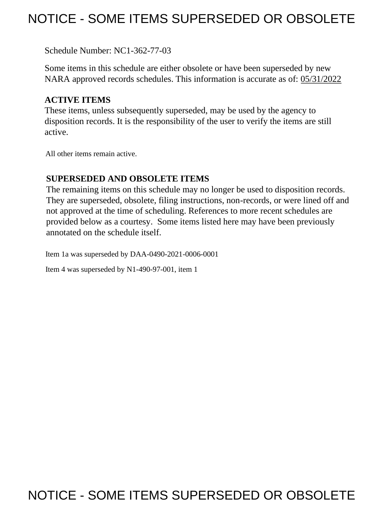# NOTICE - SOME ITEMS SUPERSEDED OR OBSOLETE

Schedule Number: NC1-362-77-03

 Some items in this schedule are either obsolete or have been superseded by new NARA approved records schedules. This information is accurate as of: 05/31/2022

## **ACTIVE ITEMS**

 These items, unless subsequently superseded, may be used by the agency to disposition records. It is the responsibility of the user to verify the items are still active.

All other items remain active.

## **SUPERSEDED AND OBSOLETE ITEMS**

 The remaining items on this schedule may no longer be used to disposition records. not approved at the time of scheduling. References to more recent schedules are provided below as a courtesy. Some items listed here may have been previously They are superseded, obsolete, filing instructions, non-records, or were lined off and annotated on the schedule itself.

Item 1a was superseded by DAA-0490-2021-0006-0001

Item 4 was superseded by N1-490-97-001, item 1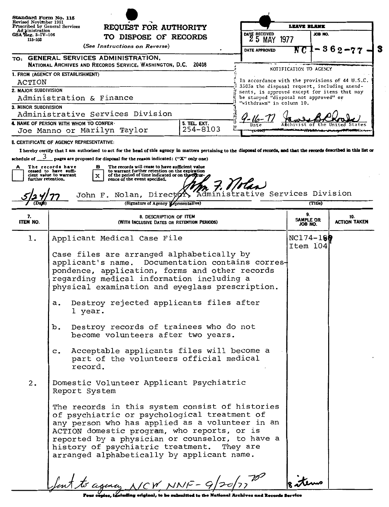| Standard Form No. 115<br>Revised November 1951<br>Prescribed by General Services<br>Ad jinistration<br>GSA Reg. 3-IV-106<br>115-103 |                                                                                                                                                                                                                                                                                                                                                  | REQUEST FOR AUTHORITY<br>TO DISPOSE OF RECORDS                                                                                                                                                                        |          |                                                                                       | LEAVE BLANK                       |         |                                                |
|-------------------------------------------------------------------------------------------------------------------------------------|--------------------------------------------------------------------------------------------------------------------------------------------------------------------------------------------------------------------------------------------------------------------------------------------------------------------------------------------------|-----------------------------------------------------------------------------------------------------------------------------------------------------------------------------------------------------------------------|----------|---------------------------------------------------------------------------------------|-----------------------------------|---------|------------------------------------------------|
|                                                                                                                                     |                                                                                                                                                                                                                                                                                                                                                  |                                                                                                                                                                                                                       |          | DATE RECEIVED<br>25 MAY                                                               | 1977                              | JOB NO. |                                                |
|                                                                                                                                     |                                                                                                                                                                                                                                                                                                                                                  | (See Instructions on Reverse)                                                                                                                                                                                         |          | DATE APPROVED                                                                         | N C                               |         | $362 - 77$                                     |
|                                                                                                                                     |                                                                                                                                                                                                                                                                                                                                                  | TO: GENERAL SERVICES ADMINISTRATION,<br>NATIONAL ARCHIVES AND RECORDS SERVICE, WASHINGTON, D.C. 20408                                                                                                                 |          |                                                                                       |                                   |         |                                                |
| 1. FROM (AGENCY OR ESTABLISHMENT)                                                                                                   |                                                                                                                                                                                                                                                                                                                                                  |                                                                                                                                                                                                                       |          | NOTIFICATION TO AGENCY                                                                |                                   |         |                                                |
| ACTION<br>2. MAJOR SUBDIVISION                                                                                                      |                                                                                                                                                                                                                                                                                                                                                  |                                                                                                                                                                                                                       |          | 3503a the disposal request, including amend-                                          |                                   |         | In accordance with the provisions of 44 U.S.C. |
|                                                                                                                                     | Administration & Finance                                                                                                                                                                                                                                                                                                                         |                                                                                                                                                                                                                       |          | ments, is approved except for items that may<br>be stamped "disposal not approved" or |                                   |         |                                                |
| 3. MINOR SUBDIVISION                                                                                                                |                                                                                                                                                                                                                                                                                                                                                  | Administrative Services Division                                                                                                                                                                                      |          | "withdrawn" in column 10.                                                             |                                   |         |                                                |
|                                                                                                                                     | 4. NAME OF PERSON WITH WHOM TO CONFER-                                                                                                                                                                                                                                                                                                           |                                                                                                                                                                                                                       |          |                                                                                       |                                   |         |                                                |
|                                                                                                                                     |                                                                                                                                                                                                                                                                                                                                                  | Joe Manno or Marilyn Taylor                                                                                                                                                                                           | 254-8103 |                                                                                       |                                   |         |                                                |
|                                                                                                                                     | <b>6. CERTIFICATE OF AGENCY REPRESENTATIVE:</b>                                                                                                                                                                                                                                                                                                  | I hereby certify that I am authorized to act for the head of this agency in matters pertaining to the disposal of records, and that the records described in this list or                                             |          |                                                                                       |                                   |         |                                                |
| further retention.                                                                                                                  | The records have<br>ceased to have suffi-<br>cient value to warrant<br>x                                                                                                                                                                                                                                                                         | The records will cease to have sufficient value<br>в<br>to warrant further retention on the expiration<br>of the period of time indicated or on the occur<br>rence of the event specified.<br>John F. Nolan, Directon |          | 7. Violen                                                                             | ve Services Division              |         |                                                |
|                                                                                                                                     |                                                                                                                                                                                                                                                                                                                                                  | (Signature of Agency Ecpresentative)                                                                                                                                                                                  |          |                                                                                       |                                   | (Title) |                                                |
| 7.<br><b>ITEM NO.</b>                                                                                                               |                                                                                                                                                                                                                                                                                                                                                  | 8. DESCRIPTION OF ITEM<br>(WITH INCLUSIVE DATES OR RETENTION PERIODS)                                                                                                                                                 |          |                                                                                       | 9.<br><b>SAMPLE OR</b><br>JOB NO. |         | 10.<br><b>ACTION TAKEN</b>                     |
| ı.                                                                                                                                  |                                                                                                                                                                                                                                                                                                                                                  | Applicant Medical Case File                                                                                                                                                                                           |          |                                                                                       | $NC174 - 180$<br>Item 104         |         |                                                |
|                                                                                                                                     | Case files are arranged alphabetically by<br>applicant's name. Documentation contains corres-<br>pondence, application, forms and other records<br>regarding medical information including a<br>physical examination and eyeglass prescription.                                                                                                  |                                                                                                                                                                                                                       |          |                                                                                       |                                   |         |                                                |
|                                                                                                                                     | a.<br>l year.                                                                                                                                                                                                                                                                                                                                    | Destroy rejected applicants files after                                                                                                                                                                               |          |                                                                                       |                                   |         |                                                |
|                                                                                                                                     | b.                                                                                                                                                                                                                                                                                                                                               | Destroy records of trainees who do not<br>become volunteers after two years.                                                                                                                                          |          |                                                                                       |                                   |         |                                                |
|                                                                                                                                     | record.                                                                                                                                                                                                                                                                                                                                          | c. Acceptable applicants files will become a<br>part of the volunteers official medical                                                                                                                               |          |                                                                                       |                                   |         |                                                |
| 2.                                                                                                                                  | Domestic Volunteer Applicant Psychiatric<br>Report System                                                                                                                                                                                                                                                                                        |                                                                                                                                                                                                                       |          |                                                                                       |                                   |         |                                                |
|                                                                                                                                     | The records in this system consist of histories<br>of psychiatric or psychological treatment of<br>any person who has applied as a volunteer in an<br>ACTION domestic program, who reports, or is<br>reported by a physician or counselor, to have a<br>history of psychiatric treatment. They are<br>arranged alphabetically by applicant name. |                                                                                                                                                                                                                       |          |                                                                                       |                                   |         |                                                |
|                                                                                                                                     |                                                                                                                                                                                                                                                                                                                                                  | funt to agency $N/CW NNF - 9/20/27$                                                                                                                                                                                   |          |                                                                                       |                                   |         |                                                |

Four copies, including original, to be submitted to the National Archives and Records Service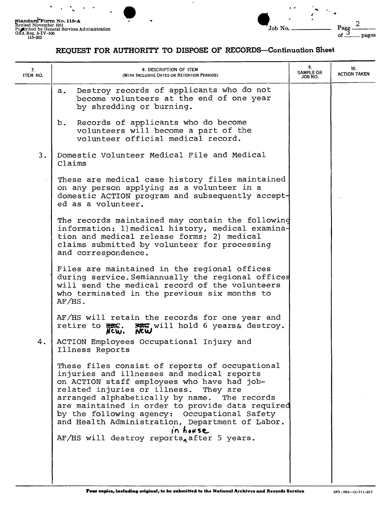...



#### **REQUEST FOR AUTHORITY TO DISPOSE OF RECORDS-Continuation Sheet**

| 7.<br>ITEM NO. | 8. DESCRIPTION OF ITEM<br>(WITH INCLUSIVE DATES OR RETENTION PERIODS)                                                                                                                                                                                                                                                                                                                                                                                       | 9.<br><b>SAMPLE OR</b><br>JOB NO. | 10.<br><b>ACTION TAKEN</b> |
|----------------|-------------------------------------------------------------------------------------------------------------------------------------------------------------------------------------------------------------------------------------------------------------------------------------------------------------------------------------------------------------------------------------------------------------------------------------------------------------|-----------------------------------|----------------------------|
|                | Destroy records of applicants who do not<br>$a_{\bullet}$<br>become volunteers at the end of one year<br>by shredding or burning.                                                                                                                                                                                                                                                                                                                           |                                   |                            |
|                | Records of applicants who do become<br>b.<br>volunteers will become a part of the<br>volunteer official medical record.                                                                                                                                                                                                                                                                                                                                     |                                   |                            |
| 3.             | Domestic Volunteer Medical File and Medical<br>Claims                                                                                                                                                                                                                                                                                                                                                                                                       |                                   |                            |
|                | These are medical case history files maintained<br>on any person applying as a volunteer in a<br>domestic ACTION program and subsequently accept-<br>ed as a volunteer.                                                                                                                                                                                                                                                                                     |                                   |                            |
|                | The records maintained may contain the following<br>information: 1) medical history, medical examina-<br>tion and medical release forms; 2) medical<br>claims submitted by volunteer for processing<br>and correspondence.                                                                                                                                                                                                                                  |                                   |                            |
|                | Files are maintained in the regional offices<br>during service. Semiannually the regional offices<br>will send the medical record of the volunteers<br>who terminated in the previous six months to<br>$AF/HS$ .                                                                                                                                                                                                                                            |                                   |                            |
|                | AF/HS will retain the records for one year and<br><b>REG</b> will hold 6 years& destroy.<br>retire to $\frac{1}{N}$ .                                                                                                                                                                                                                                                                                                                                       |                                   |                            |
| 4.             | ACTION Employees Occupational Injury and<br>Illness Reports                                                                                                                                                                                                                                                                                                                                                                                                 |                                   |                            |
|                | These files consist of reports of occupational<br>injuries and illnesses and medical reports<br>on ACTION staff employees who have had job-<br>related injuries or illness.<br>They are<br>arranged alphabetically by name.<br>The records<br>are maintained in order to provide data required<br>by the following agency: Occupational Safety<br>and Health Administration, Department of Labor.<br>in house<br>AF/HS will destroy reports, after 5 years. |                                   |                            |
|                |                                                                                                                                                                                                                                                                                                                                                                                                                                                             |                                   |                            |